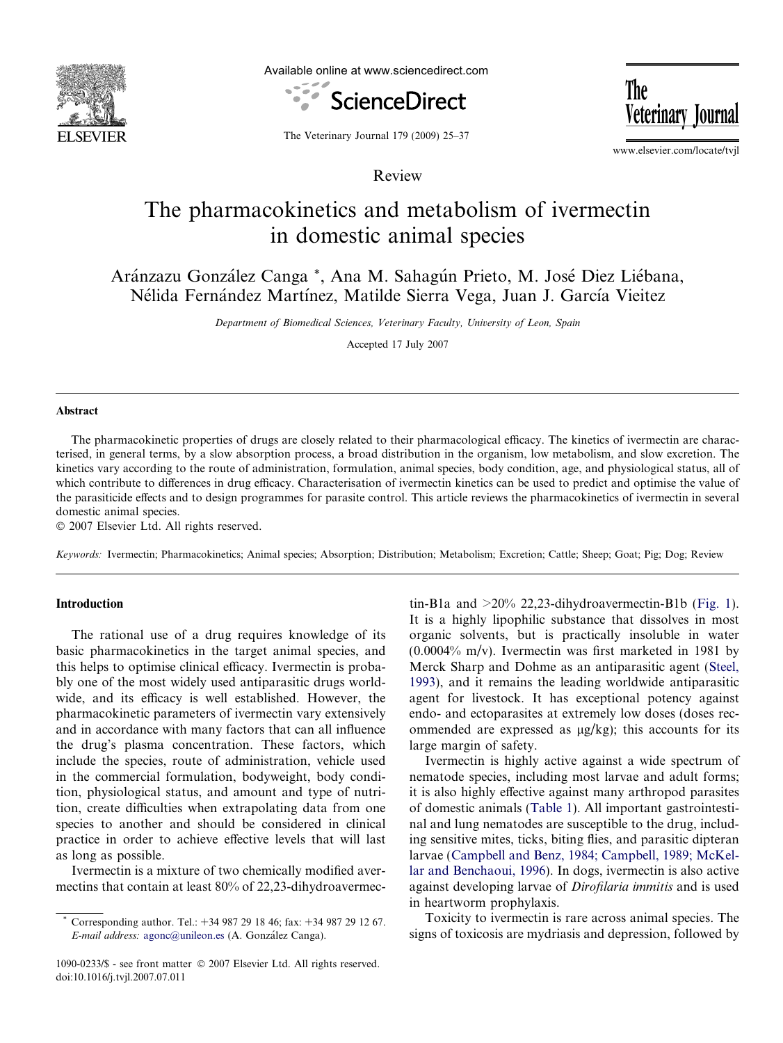

Available online at www.sciencedirect.com



The Veterinary Journal

The Veterinary Journal 179 (2009) 25–37

Review

www.elsevier.com/locate/tvjl

# The pharmacokinetics and metabolism of ivermectin in domestic animal species

Aránzazu González Canga \*, Ana M. Sahagún Prieto, M. José Diez Liébana, Nélida Fernández Martínez, Matilde Sierra Vega, Juan J. García Vieitez

Department of Biomedical Sciences, Veterinary Faculty, University of Leon, Spain

Accepted 17 July 2007

#### Abstract

The pharmacokinetic properties of drugs are closely related to their pharmacological efficacy. The kinetics of ivermectin are characterised, in general terms, by a slow absorption process, a broad distribution in the organism, low metabolism, and slow excretion. The kinetics vary according to the route of administration, formulation, animal species, body condition, age, and physiological status, all of which contribute to differences in drug efficacy. Characterisation of ivermectin kinetics can be used to predict and optimise the value of the parasiticide effects and to design programmes for parasite control. This article reviews the pharmacokinetics of ivermectin in several domestic animal species.

- 2007 Elsevier Ltd. All rights reserved.

Keywords: Ivermectin; Pharmacokinetics; Animal species; Absorption; Distribution; Metabolism; Excretion; Cattle; Sheep; Goat; Pig; Dog; Review

## Introduction

The rational use of a drug requires knowledge of its basic pharmacokinetics in the target animal species, and this helps to optimise clinical efficacy. Ivermectin is probably one of the most widely used antiparasitic drugs worldwide, and its efficacy is well established. However, the pharmacokinetic parameters of ivermectin vary extensively and in accordance with many factors that can all influence the drug's plasma concentration. These factors, which include the species, route of administration, vehicle used in the commercial formulation, bodyweight, body condition, physiological status, and amount and type of nutrition, create difficulties when extrapolating data from one species to another and should be considered in clinical practice in order to achieve effective levels that will last as long as possible.

Ivermectin is a mixture of two chemically modified avermectins that contain at least 80% of 22,23-dihydroavermectin-B1a and  $>20\%$  22,23-dihydroavermectin-B1b [\(Fig. 1\)](#page-1-0). It is a highly lipophilic substance that dissolves in most organic solvents, but is practically insoluble in water (0.0004% m/v). Ivermectin was first marketed in 1981 by Merck Sharp and Dohme as an antiparasitic agent ([Steel,](#page-12-0) [1993](#page-12-0)), and it remains the leading worldwide antiparasitic agent for livestock. It has exceptional potency against endo- and ectoparasites at extremely low doses (doses recommended are expressed as  $\mu$ g/kg); this accounts for its large margin of safety.

Ivermectin is highly active against a wide spectrum of nematode species, including most larvae and adult forms; it is also highly effective against many arthropod parasites of domestic animals ([Table 1\)](#page-2-0). All important gastrointestinal and lung nematodes are susceptible to the drug, including sensitive mites, ticks, biting flies, and parasitic dipteran larvae [\(Campbell and Benz, 1984; Campbell, 1989; McKel](#page-10-0)[lar and Benchaoui, 1996](#page-10-0)). In dogs, ivermectin is also active against developing larvae of Dirofilaria immitis and is used in heartworm prophylaxis.

Toxicity to ivermectin is rare across animal species. The signs of toxicosis are mydriasis and depression, followed by

<sup>\*</sup> Corresponding author. Tel.: +34 987 29 18 46; fax: +34 987 29 12 67. E-mail address: [agonc@unileon.es](mailto:agonc@unileon.es) (A. González Canga).

<sup>1090-0233/\$ -</sup> see front matter © 2007 Elsevier Ltd. All rights reserved. doi:10.1016/j.tvjl.2007.07.011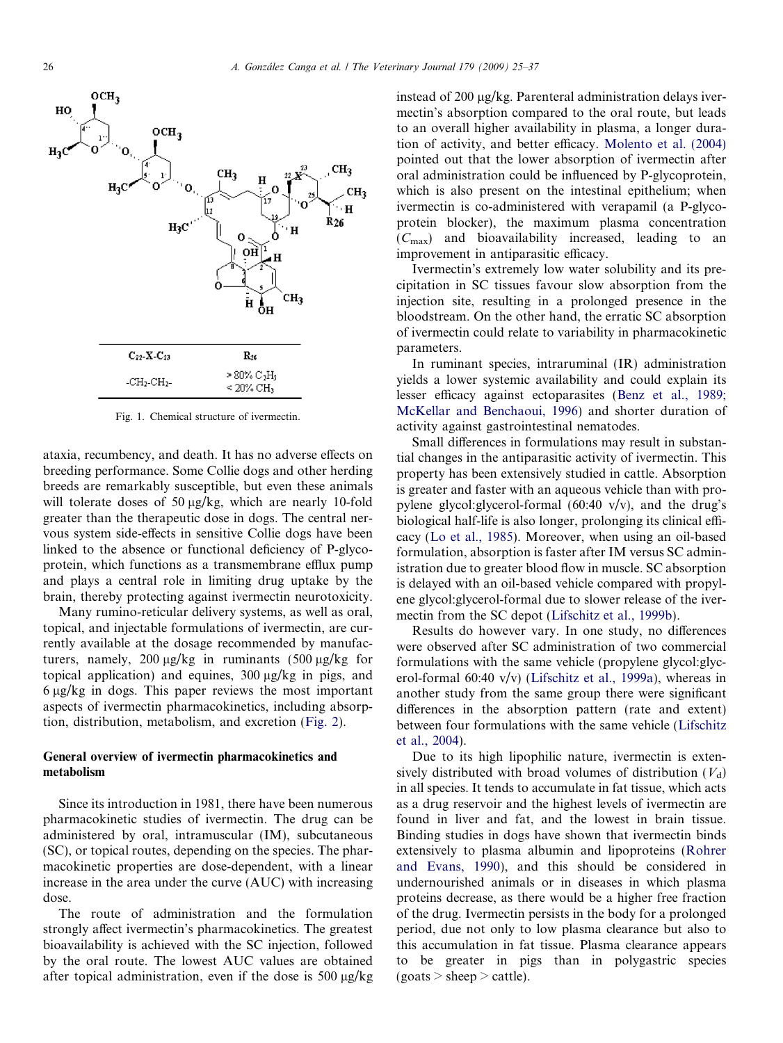<span id="page-1-0"></span>

Fig. 1. Chemical structure of ivermectin.

ataxia, recumbency, and death. It has no adverse effects on breeding performance. Some Collie dogs and other herding breeds are remarkably susceptible, but even these animals will tolerate doses of 50  $\mu$ g/kg, which are nearly 10-fold greater than the therapeutic dose in dogs. The central nervous system side-effects in sensitive Collie dogs have been linked to the absence or functional deficiency of P-glycoprotein, which functions as a transmembrane efflux pump and plays a central role in limiting drug uptake by the brain, thereby protecting against ivermectin neurotoxicity.

Many rumino-reticular delivery systems, as well as oral, topical, and injectable formulations of ivermectin, are currently available at the dosage recommended by manufacturers, namely, 200  $\mu$ g/kg in ruminants (500  $\mu$ g/kg for topical application) and equines,  $300 \mu g/kg$  in pigs, and  $6 \mu g/kg$  in dogs. This paper reviews the most important aspects of ivermectin pharmacokinetics, including absorption, distribution, metabolism, and excretion [\(Fig. 2\)](#page-3-0).

## General overview of ivermectin pharmacokinetics and metabolism

Since its introduction in 1981, there have been numerous pharmacokinetic studies of ivermectin. The drug can be administered by oral, intramuscular (IM), subcutaneous (SC), or topical routes, depending on the species. The pharmacokinetic properties are dose-dependent, with a linear increase in the area under the curve (AUC) with increasing dose.

The route of administration and the formulation strongly affect ivermectin's pharmacokinetics. The greatest bioavailability is achieved with the SC injection, followed by the oral route. The lowest AUC values are obtained after topical administration, even if the dose is  $500 \mu g/kg$ 

instead of 200  $\mu$ g/kg. Parenteral administration delays ivermectin's absorption compared to the oral route, but leads to an overall higher availability in plasma, a longer duration of activity, and better efficacy. [Molento et al. \(2004\)](#page-11-0) pointed out that the lower absorption of ivermectin after oral administration could be influenced by P-glycoprotein, which is also present on the intestinal epithelium; when ivermectin is co-administered with verapamil (a P-glycoprotein blocker), the maximum plasma concentration  $(C_{\text{max}})$  and bioavailability increased, leading to an improvement in antiparasitic efficacy.

Ivermectin's extremely low water solubility and its precipitation in SC tissues favour slow absorption from the injection site, resulting in a prolonged presence in the bloodstream. On the other hand, the erratic SC absorption of ivermectin could relate to variability in pharmacokinetic parameters.

In ruminant species, intraruminal (IR) administration yields a lower systemic availability and could explain its lesser efficacy against ectoparasites ([Benz et al., 1989;](#page-10-0) [McKellar and Benchaoui, 1996\)](#page-10-0) and shorter duration of activity against gastrointestinal nematodes.

Small differences in formulations may result in substantial changes in the antiparasitic activity of ivermectin. This property has been extensively studied in cattle. Absorption is greater and faster with an aqueous vehicle than with propylene glycol: glycerol-formal  $(60:40 \text{ v/v})$ , and the drug's biological half-life is also longer, prolonging its clinical efficacy [\(Lo et al., 1985](#page-11-0)). Moreover, when using an oil-based formulation, absorption is faster after IM versus SC administration due to greater blood flow in muscle. SC absorption is delayed with an oil-based vehicle compared with propylene glycol:glycerol-formal due to slower release of the ivermectin from the SC depot [\(Lifschitz et al., 1999b\)](#page-11-0).

Results do however vary. In one study, no differences were observed after SC administration of two commercial formulations with the same vehicle (propylene glycol:glycerol-formal 60:40 v/v) ([Lifschitz et al., 1999a](#page-11-0)), whereas in another study from the same group there were significant differences in the absorption pattern (rate and extent) between four formulations with the same vehicle ([Lifschitz](#page-11-0) [et al., 2004](#page-11-0)).

Due to its high lipophilic nature, ivermectin is extensively distributed with broad volumes of distribution  $(V_d)$ in all species. It tends to accumulate in fat tissue, which acts as a drug reservoir and the highest levels of ivermectin are found in liver and fat, and the lowest in brain tissue. Binding studies in dogs have shown that ivermectin binds extensively to plasma albumin and lipoproteins ([Rohrer](#page-11-0) [and Evans, 1990\)](#page-11-0), and this should be considered in undernourished animals or in diseases in which plasma proteins decrease, as there would be a higher free fraction of the drug. Ivermectin persists in the body for a prolonged period, due not only to low plasma clearance but also to this accumulation in fat tissue. Plasma clearance appears to be greater in pigs than in polygastric species  $(goats > sheep > cattle)$ .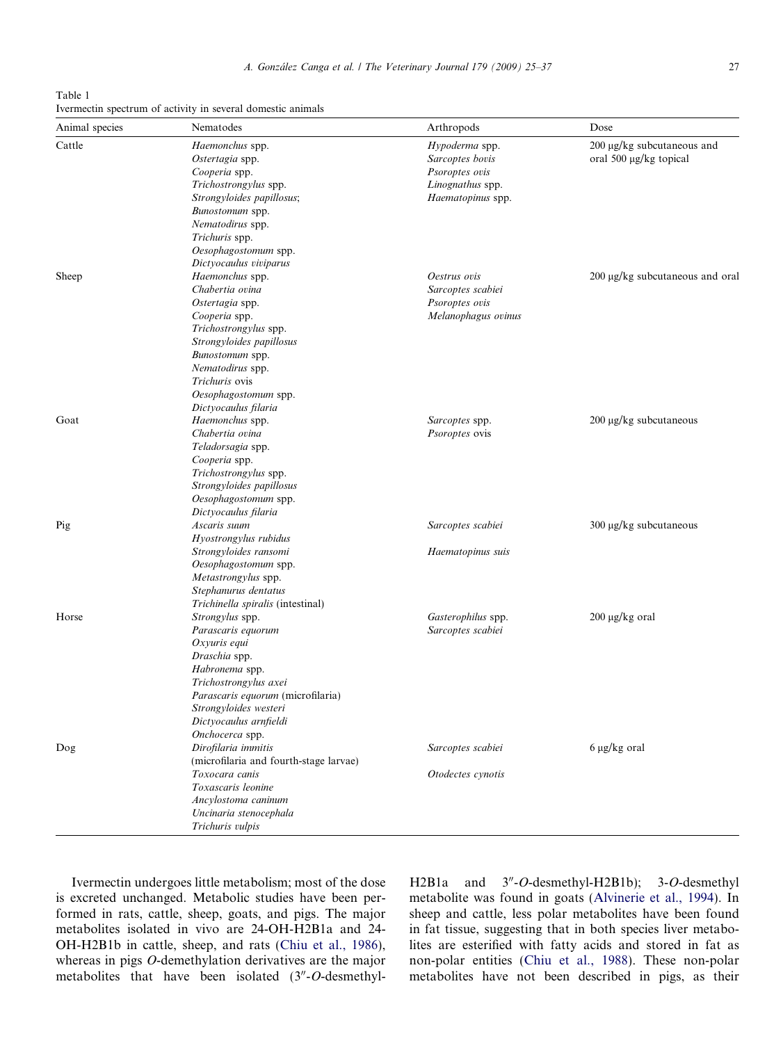Ivermectin undergoes little metabolism; most of the dose is excreted unchanged. Metabolic studies have been performed in rats, cattle, sheep, goats, and pigs. The major metabolites isolated in vivo are 24-OH-H2B1a and 24- OH-H2B1b in cattle, sheep, and rats [\(Chiu et al., 1986\)](#page-11-0), whereas in pigs O-demethylation derivatives are the major metabolites that have been isolated  $(3<sup>n</sup>-O$ -desmethylH2B1a and  $3''$ -O-desmethyl-H2B1b); 3-O-desmethyl metabolite was found in goats ([Alvinerie et al., 1994](#page-10-0)). In sheep and cattle, less polar metabolites have been found in fat tissue, suggesting that in both species liver metabolites are esterified with fatty acids and stored in fat as non-polar entities ([Chiu et al., 1988\)](#page-11-0). These non-polar metabolites have not been described in pigs, as their

| Cattle | Haemonchus spp.<br>Ostertagia spp.<br>Cooperia spp.<br>Trichostrongylus spp.<br>Strongyloides papillosus;<br>Bunostomum spp.<br>Nematodirus spp.<br>Trichuris spp.                                        | Hypoderma spp.<br>Sarcoptes bovis<br>Psoroptes ovis<br>Linognathus spp.<br>Haematopinus spp. | $200 \mu$ g/kg subcutaneous and<br>oral 500 µg/kg topical |
|--------|-----------------------------------------------------------------------------------------------------------------------------------------------------------------------------------------------------------|----------------------------------------------------------------------------------------------|-----------------------------------------------------------|
| Sheep  | Oesophagostomum spp.<br>Dictyocaulus viviparus<br>Haemonchus spp.                                                                                                                                         | Oestrus ovis                                                                                 | $200 \mu g/kg$ subcutaneous and oral                      |
|        | Chabertia ovina<br>Ostertagia spp.<br>Cooperia spp.<br>Trichostrongylus spp.<br>Strongyloides papillosus                                                                                                  | Sarcoptes scabiei<br>Psoroptes ovis<br>Melanophagus ovinus                                   |                                                           |
|        | Bunostomum spp.<br>Nematodirus spp.<br>Trichuris ovis<br>Oesophagostomum spp.<br>Dictyocaulus filaria                                                                                                     |                                                                                              |                                                           |
| Goat   | Haemonchus spp.<br>Chabertia ovina<br>Teladorsagia spp.<br>Cooperia spp.<br>Trichostrongylus spp.<br>Strongyloides papillosus<br>Oesophagostomum spp.<br>Dictyocaulus filaria                             | Sarcoptes spp.<br>Psoroptes ovis                                                             | 200 μg/kg subcutaneous                                    |
| Pig    | Ascaris suum<br>Hyostrongylus rubidus<br>Strongyloides ransomi<br>Oesophagostomum spp.<br>Metastrongylus spp.<br>Stephanurus dentatus<br>Trichinella spiralis (intestinal)                                | Sarcoptes scabiei<br>Haematopinus suis                                                       | $300 \mu g/kg$ subcutaneous                               |
| Horse  | Strongylus spp.<br>Parascaris equorum<br>Oxyuris equi<br>Draschia spp.<br>Habronema spp.<br>Trichostrongylus axei<br>Parascaris equorum (microfilaria)<br>Strongyloides westeri<br>Dictyocaulus arnfieldi | Gasterophilus spp.<br>Sarcoptes scabiei                                                      | $200 \mu g/kg$ oral                                       |
| Dog    | Onchocerca spp.<br>Dirofilaria immitis<br>(microfilaria and fourth-stage larvae)<br>Toxocara canis<br>Toxascaris leonine<br>Ancylostoma caninum<br>Uncinaria stenocephala<br>Trichuris vulpis             | Sarcoptes scabiei<br>Otodectes cynotis                                                       | $6 \mu g/kg$ oral                                         |

Animal species Nematodes Arthropods Dose

<span id="page-2-0"></span>Table 1 Ivermectin spectrum of activity in several domestic animals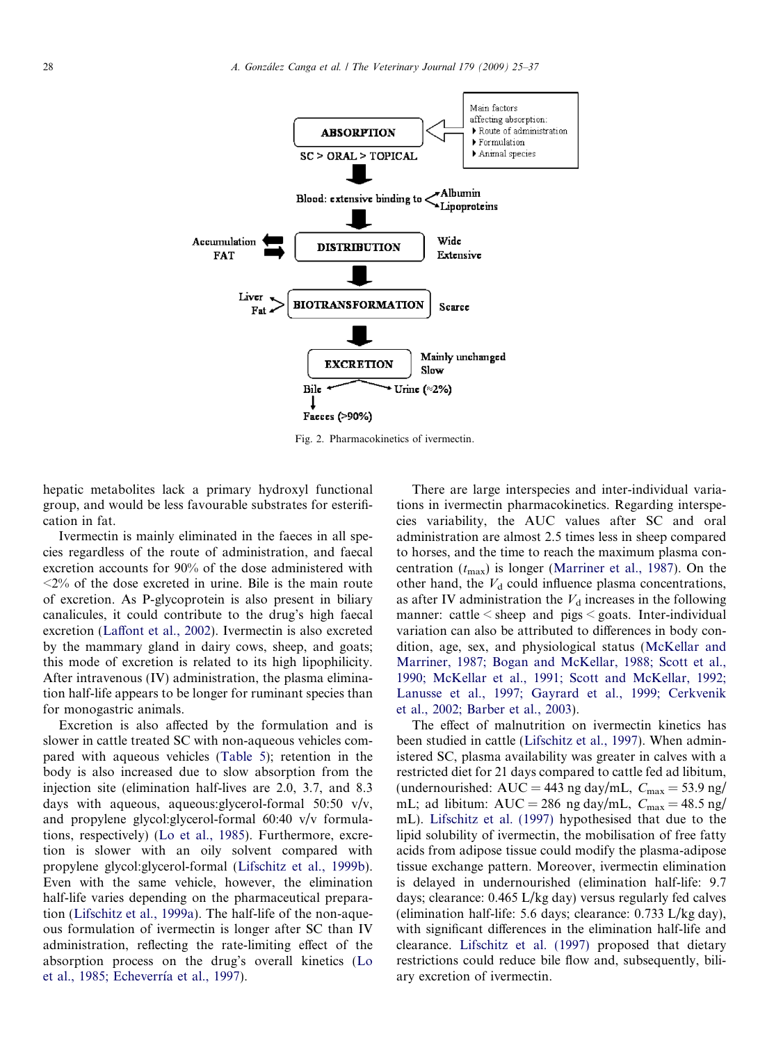<span id="page-3-0"></span>

Fig. 2. Pharmacokinetics of ivermectin.

hepatic metabolites lack a primary hydroxyl functional group, and would be less favourable substrates for esterification in fat.

Ivermectin is mainly eliminated in the faeces in all species regardless of the route of administration, and faecal excretion accounts for 90% of the dose administered with  $\langle 2\%$  of the dose excreted in urine. Bile is the main route of excretion. As P-glycoprotein is also present in biliary canalicules, it could contribute to the drug's high faecal excretion [\(Laffont et al., 2002](#page-11-0)). Ivermectin is also excreted by the mammary gland in dairy cows, sheep, and goats; this mode of excretion is related to its high lipophilicity. After intravenous (IV) administration, the plasma elimination half-life appears to be longer for ruminant species than for monogastric animals.

Excretion is also affected by the formulation and is slower in cattle treated SC with non-aqueous vehicles compared with aqueous vehicles ([Table 5](#page-9-0)); retention in the body is also increased due to slow absorption from the injection site (elimination half-lives are 2.0, 3.7, and 8.3 days with aqueous, aqueous:glycerol-formal 50:50 v/v, and propylene glycol:glycerol-formal 60:40 v/v formulations, respectively) ([Lo et al., 1985](#page-11-0)). Furthermore, excretion is slower with an oily solvent compared with propylene glycol:glycerol-formal ([Lifschitz et al., 1999b\)](#page-11-0). Even with the same vehicle, however, the elimination half-life varies depending on the pharmaceutical preparation [\(Lifschitz et al., 1999a\)](#page-11-0). The half-life of the non-aqueous formulation of ivermectin is longer after SC than IV administration, reflecting the rate-limiting effect of the absorption process on the drug's overall kinetics ([Lo](#page-11-0) et al., 1985; Echeverría et al., 1997).

There are large interspecies and inter-individual variations in ivermectin pharmacokinetics. Regarding interspecies variability, the AUC values after SC and oral administration are almost 2.5 times less in sheep compared to horses, and the time to reach the maximum plasma concentration  $(t_{\text{max}})$  is longer [\(Marriner et al., 1987\)](#page-11-0). On the other hand, the  $V<sub>d</sub>$  could influence plasma concentrations, as after IV administration the  $V<sub>d</sub>$  increases in the following manner: cattle < sheep and pigs < goats. Inter-individual variation can also be attributed to differences in body condition, age, sex, and physiological status ([McKellar and](#page-11-0) [Marriner, 1987; Bogan and McKellar, 1988; Scott et al.,](#page-11-0) [1990; McKellar et al., 1991; Scott and McKellar, 1992;](#page-11-0) [Lanusse et al., 1997; Gayrard et al., 1999; Cerkvenik](#page-11-0) [et al., 2002; Barber et al., 2003](#page-11-0)).

The effect of malnutrition on ivermectin kinetics has been studied in cattle ([Lifschitz et al., 1997](#page-11-0)). When administered SC, plasma availability was greater in calves with a restricted diet for 21 days compared to cattle fed ad libitum, (undernourished: AUC = 443 ng day/mL,  $C_{\text{max}} = 53.9$  ng/ mL; ad libitum:  $AUC = 286$  ng day/mL,  $C_{\text{max}} = 48.5$  ng/ mL). [Lifschitz et al. \(1997\)](#page-11-0) hypothesised that due to the lipid solubility of ivermectin, the mobilisation of free fatty acids from adipose tissue could modify the plasma-adipose tissue exchange pattern. Moreover, ivermectin elimination is delayed in undernourished (elimination half-life: 9.7 days; clearance: 0.465 L/kg day) versus regularly fed calves (elimination half-life: 5.6 days; clearance: 0.733 L/kg day), with significant differences in the elimination half-life and clearance. [Lifschitz et al. \(1997\)](#page-11-0) proposed that dietary restrictions could reduce bile flow and, subsequently, biliary excretion of ivermectin.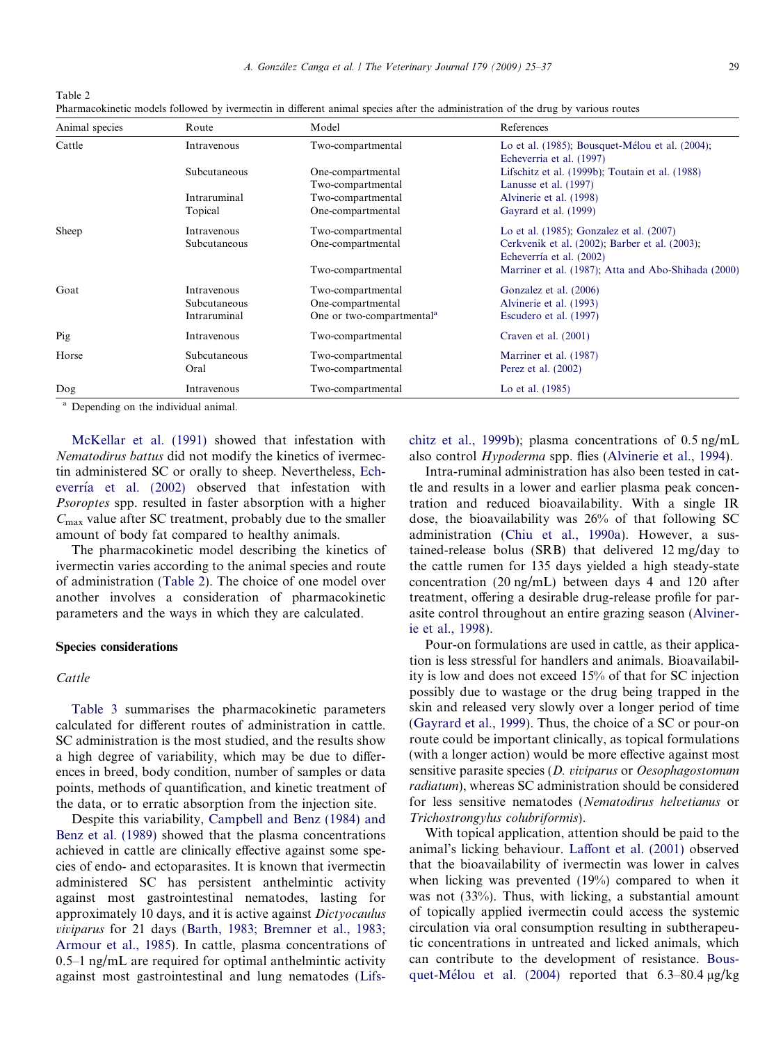| Table 2                                                                                                                          |  |  |  |  |  |  |
|----------------------------------------------------------------------------------------------------------------------------------|--|--|--|--|--|--|
| Pharmacokinetic models followed by ivermectin in different animal species after the administration of the drug by various routes |  |  |  |  |  |  |

| Animal species | Route        | Model                                 | References                                                                  |
|----------------|--------------|---------------------------------------|-----------------------------------------------------------------------------|
| Cattle         | Intravenous  | Two-compartmental                     | Lo et al. (1985); Bousquet-Mélou et al. (2004);<br>Echeverria et al. (1997) |
|                | Subcutaneous | One-compartmental                     | Lifschitz et al. (1999b); Toutain et al. (1988).                            |
|                |              | Two-compartmental                     | Lanusse et al. (1997)                                                       |
|                | Intraruminal | Two-compartmental                     | Alvinerie et al. (1998)                                                     |
|                | Topical      | One-compartmental                     | Gayrard et al. (1999)                                                       |
| Sheep          | Intravenous  | Two-compartmental                     | Lo et al. (1985); Gonzalez et al. (2007)                                    |
|                | Subcutaneous | One-compartmental                     | Cerkvenik et al. (2002); Barber et al. (2003);                              |
|                |              |                                       | Echeverría et al. (2002)                                                    |
|                |              | Two-compartmental                     | Marriner et al. (1987); Atta and Abo-Shihada (2000)                         |
| Goat           | Intravenous  | Two-compartmental                     | Gonzalez et al. (2006)                                                      |
|                | Subcutaneous | One-compartmental                     | Alvinerie et al. (1993)                                                     |
|                | Intraruminal | One or two-compartmental <sup>a</sup> | Escudero et al. (1997)                                                      |
| Pig            | Intravenous  | Two-compartmental                     | Craven et al. $(2001)$                                                      |
| Horse          | Subcutaneous | Two-compartmental                     | Marriner et al. (1987)                                                      |
|                | Oral         | Two-compartmental                     | Perez et al. $(2002)$                                                       |
| Dog            | Intravenous  | Two-compartmental                     | Lo et al. (1985)                                                            |

<sup>a</sup> Depending on the individual animal.

[McKellar et al. \(1991\)](#page-11-0) showed that infestation with Nematodirus battus did not modify the kinetics of ivermectin administered SC or orally to sheep. Nevertheless, [Ech](#page-11-0)everría et al. (2002) observed that infestation with Psoroptes spp. resulted in faster absorption with a higher  $C_{\text{max}}$  value after SC treatment, probably due to the smaller amount of body fat compared to healthy animals.

The pharmacokinetic model describing the kinetics of ivermectin varies according to the animal species and route of administration (Table 2). The choice of one model over another involves a consideration of pharmacokinetic parameters and the ways in which they are calculated.

## Species considerations

## Cattle

[Table 3](#page-5-0) summarises the pharmacokinetic parameters calculated for different routes of administration in cattle. SC administration is the most studied, and the results show a high degree of variability, which may be due to differences in breed, body condition, number of samples or data points, methods of quantification, and kinetic treatment of the data, or to erratic absorption from the injection site.

Despite this variability, [Campbell and Benz \(1984\) and](#page-10-0) [Benz et al. \(1989\)](#page-10-0) showed that the plasma concentrations achieved in cattle are clinically effective against some species of endo- and ectoparasites. It is known that ivermectin administered SC has persistent anthelmintic activity against most gastrointestinal nematodes, lasting for approximately 10 days, and it is active against Dictyocaulus viviparus for 21 days ([Barth, 1983; Bremner et al., 1983;](#page-10-0) [Armour et al., 1985](#page-10-0)). In cattle, plasma concentrations of 0.5–1 ng/mL are required for optimal anthelmintic activity against most gastrointestinal and lung nematodes ([Lifs-](#page-11-0) [chitz et al., 1999b\)](#page-11-0); plasma concentrations of 0.5 ng/mL also control Hypoderma spp. flies [\(Alvinerie et al., 1994\)](#page-10-0).

Intra-ruminal administration has also been tested in cattle and results in a lower and earlier plasma peak concentration and reduced bioavailability. With a single IR dose, the bioavailability was 26% of that following SC administration ([Chiu et al., 1990a\)](#page-11-0). However, a sustained-release bolus (SRB) that delivered 12 mg/day to the cattle rumen for 135 days yielded a high steady-state concentration (20 ng/mL) between days 4 and 120 after treatment, offering a desirable drug-release profile for parasite control throughout an entire grazing season [\(Alviner](#page-10-0)[ie et al., 1998](#page-10-0)).

Pour-on formulations are used in cattle, as their application is less stressful for handlers and animals. Bioavailability is low and does not exceed 15% of that for SC injection possibly due to wastage or the drug being trapped in the skin and released very slowly over a longer period of time ([Gayrard et al., 1999](#page-11-0)). Thus, the choice of a SC or pour-on route could be important clinically, as topical formulations (with a longer action) would be more effective against most sensitive parasite species (D. viviparus or Oesophagostomum radiatum), whereas SC administration should be considered for less sensitive nematodes (Nematodirus helvetianus or Trichostrongylus colubriformis).

With topical application, attention should be paid to the animal's licking behaviour. [Laffont et al. \(2001\)](#page-11-0) observed that the bioavailability of ivermectin was lower in calves when licking was prevented (19%) compared to when it was not (33%). Thus, with licking, a substantial amount of topically applied ivermectin could access the systemic circulation via oral consumption resulting in subtherapeutic concentrations in untreated and licked animals, which can contribute to the development of resistance. [Bous](#page-10-0)quet-Mélou et al. (2004) reported that  $6.3-80.4 \mu g/kg$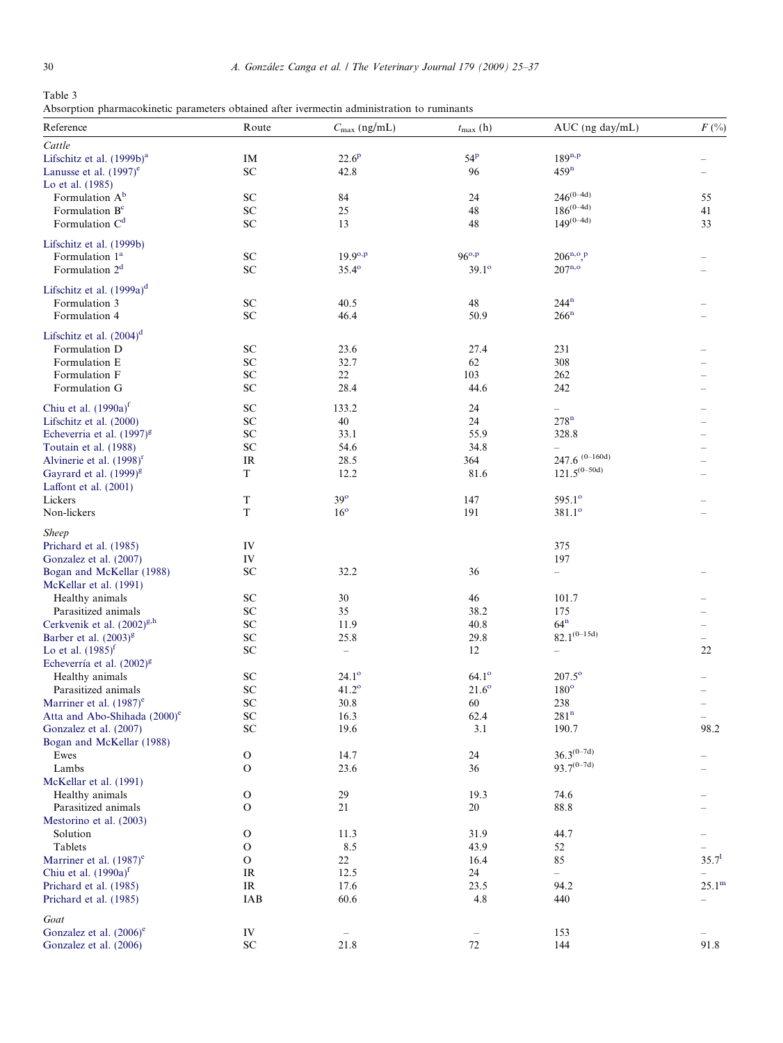<span id="page-5-0"></span>Table 3 Absorption pharmacokinetic parameters obtained after ivermectin administration to ruminants

| Reference                                | Route        | $C_{\text{max}}$ (ng/mL) | $t_{\max}$ (h) | AUC (ng day/mL)          | $F({\%})$         |
|------------------------------------------|--------------|--------------------------|----------------|--------------------------|-------------------|
| Cattle                                   |              |                          |                |                          |                   |
| Lifschitz et al. (1999b) <sup>a</sup>    | IM           | $22.6^{\rm p}$           | 54P            | $189^{n,p}$              |                   |
| Lanusse et al. $(1997)$ <sup>e</sup>     | ${\rm SC}$   | 42.8                     | 96             | 459 <sup>n</sup>         |                   |
| Lo et al. (1985)                         |              |                          |                |                          |                   |
| Formulation A <sup>b</sup>               | SC           | 84                       | 24             | $246^{(0-4d)}$           | 55                |
|                                          |              |                          |                | $186^{(0-4d)}$           |                   |
| Formulation B <sup>c</sup>               | ${\rm SC}$   | 25                       | 48             | $149^{(0-4d)}$           | 41                |
| Formulation $\mathrm{C}^{\mathrm{d}}$    | ${\rm SC}$   | 13                       | 48             |                          | 33                |
| Lifschitz et al. (1999b)                 |              |                          |                |                          |                   |
| Formulation 1 <sup>a</sup>               | SC           | $19.9^{o,p}$             | $96^{o,p}$     | $206^{n,o}$ P            |                   |
| Formulation $2d$                         | ${\rm SC}$   | $35.4^{\circ}$           | $39.1^\circ$   | $207^{n,o}$              |                   |
|                                          |              |                          |                |                          |                   |
| Lifschitz et al. (1999a) <sup>d</sup>    |              |                          |                |                          |                   |
| Formulation 3                            | SC           | 40.5                     | 48             | 244 <sup>n</sup>         |                   |
| Formulation 4                            | ${\rm SC}$   | 46.4                     | 50.9           | $266^n$                  |                   |
|                                          |              |                          |                |                          |                   |
| Lifschitz et al. $(2004)^d$              |              |                          |                |                          |                   |
| Formulation D                            | SC           | 23.6                     | 27.4           | 231                      |                   |
| Formulation E                            | ${\rm SC}$   | 32.7                     | 62             | 308                      |                   |
| Formulation F                            | ${\rm SC}$   | 22                       | 103            | 262                      |                   |
| Formulation G                            | SC           | 28.4                     | 44.6           | 242                      |                   |
|                                          |              |                          |                |                          |                   |
| Chiu et al. $(1990a)^f$                  | SC           | 133.2                    | 24             | $\overline{\phantom{0}}$ |                   |
| Lifschitz et al. (2000)                  | ${\rm SC}$   | $40\,$                   | 24             | 278 <sup>n</sup>         |                   |
| Echeverria et al. $(1997)^{g}$           | SC           | 33.1                     | 55.9           | 328.8                    |                   |
| Toutain et al. (1988)                    | SC           | 54.6                     | 34.8           |                          |                   |
| Alvinerie et al. $(1998)^r$              | <b>IR</b>    | 28.5                     | 364            | 247.6 $(0-160d)$         |                   |
| Gayrard et al. $(1999)^{g}$              | $\mathbf T$  | 12.2                     | 81.6           | $121.5^{(0-50d)}$        |                   |
|                                          |              |                          |                |                          |                   |
| Laffont et al. $(2001)$                  |              |                          |                |                          |                   |
| Lickers                                  | T            | $39^\circ$               | 147            | $595.1^{\circ}$          |                   |
| Non-lickers                              | T            | $16^{\circ}$             | 191            | $381.1^{\circ}$          |                   |
| <b>Sheep</b>                             |              |                          |                |                          |                   |
| Prichard et al. (1985)                   | IV           |                          |                | 375                      |                   |
|                                          | IV           |                          |                | 197                      |                   |
| Gonzalez et al. (2007)                   |              |                          |                |                          |                   |
| Bogan and McKellar (1988)                | SC           | 32.2                     | 36             | $\overline{\phantom{0}}$ |                   |
| McKellar et al. (1991)                   |              |                          |                |                          |                   |
| Healthy animals                          | SC           | 30                       | 46             | 101.7                    |                   |
| Parasitized animals                      | SC           | 35                       | 38.2           | 175                      |                   |
| Cerkvenik et al. $(2002)^{g,h}$          | ${\rm SC}$   | 11.9                     | 40.8           | $64^n$                   |                   |
| Barber et al. (2003) <sup>g</sup>        | SC           | 25.8                     | 29.8           | $82.1^{(0-15d)}$         |                   |
| Lo et al. $(1985)^{t}$                   | SC           | $\overline{\phantom{0}}$ | 12             |                          | 22                |
| Echeverría et al. $(2002)^{g}$           |              |                          |                |                          |                   |
| Healthy animals                          | SC           | $24.1^{\circ}$           | $64.1^\circ$   | $207.5^{\circ}$          |                   |
|                                          |              |                          |                |                          |                   |
| Parasitized animals                      | ${\rm SC}$   | $41.2^\circ$             | $21.6^\circ$   | $180^\circ$              |                   |
| Marriner et al. $(1987)$ <sup>e</sup>    | ${\rm SC}$   | 30.8                     | 60             | 238                      |                   |
| Atta and Abo-Shihada (2000) <sup>e</sup> | <b>SC</b>    | 16.3                     | 62.4           | 281 <sup>n</sup>         |                   |
| Gonzalez et al. (2007)                   | ${\rm SC}$   | 19.6                     | 3.1            | 190.7                    | 98.2              |
| Bogan and McKellar (1988)                |              |                          |                |                          |                   |
| Ewes                                     | $\mathbf O$  | 14.7                     | 24             | $36.3^{(0-7d)}$          |                   |
| Lambs                                    | O            | 23.6                     | 36             | $93.7^{(0-7d)}$          |                   |
| McKellar et al. (1991)                   |              |                          |                |                          |                   |
| Healthy animals                          | $\mathbf O$  | 29                       | 19.3           | 74.6                     |                   |
|                                          |              |                          |                |                          |                   |
| Parasitized animals                      | $\mathbf O$  | 21                       | 20             | 88.8                     |                   |
| Mestorino et al. (2003)                  |              |                          |                |                          |                   |
| Solution                                 | $\mathbf O$  | 11.3                     | 31.9           | 44.7                     |                   |
| Tablets                                  | $\mathbf O$  | 8.5                      | 43.9           | 52                       |                   |
| Marriner et al. (1987) <sup>e</sup>      | $\mathbf{O}$ | 22                       | 16.4           | 85                       | 35.7 <sup>1</sup> |
| Chiu et al. $(1990a)^f$                  | <b>IR</b>    | 12.5                     | 24             | $\qquad \qquad -$        |                   |
| Prichard et al. (1985)                   | IR           | 17.6                     | 23.5           | 94.2                     | 25.1 <sup>m</sup> |
| Prichard et al. (1985)                   | IAB          | 60.6                     | 4.8            | 440                      |                   |
|                                          |              |                          |                |                          |                   |
| Goat                                     |              |                          |                |                          |                   |
| Gonzalez et al. $(2006)$ <sup>e</sup>    | IV           |                          |                | 153                      |                   |
| Gonzalez et al. (2006)                   | ${\rm SC}$   | 21.8                     | $72\,$         | 144                      | 91.8              |
|                                          |              |                          |                |                          |                   |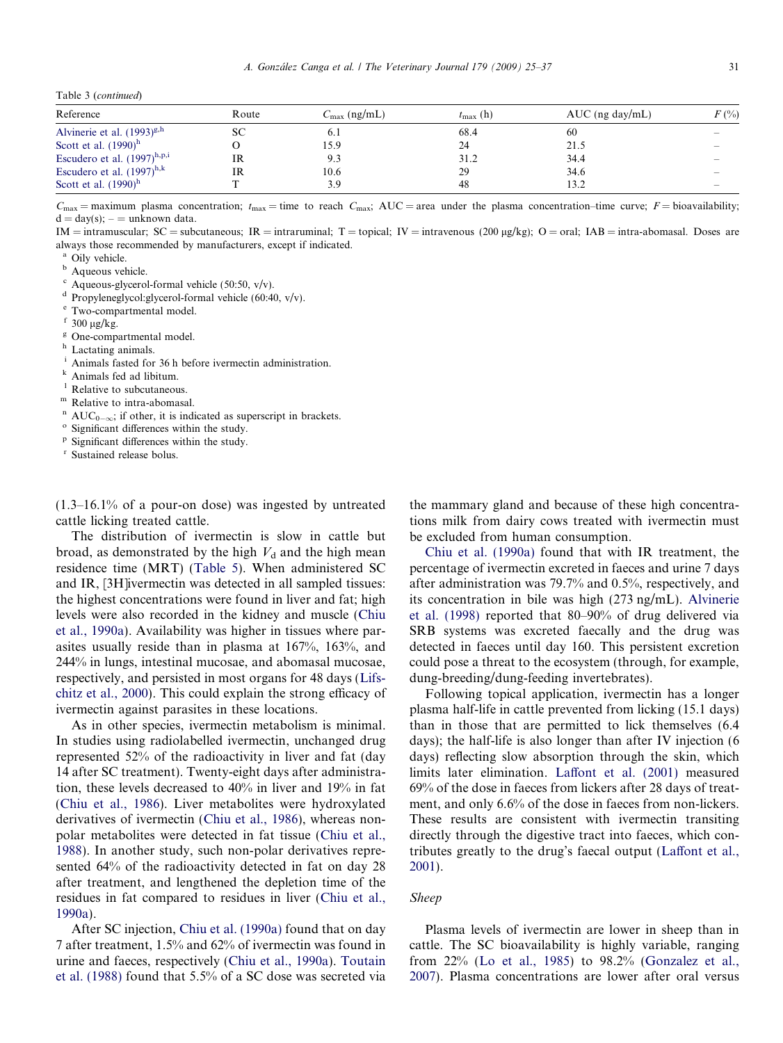<span id="page-6-0"></span>Table 3 (continued)

| Reference                        | Route | $C_{\text{max}}$ (ng/mL) | $t_{\rm max}$ (h) | $AUC$ (ng day/mL) | $F(\%)$ |
|----------------------------------|-------|--------------------------|-------------------|-------------------|---------|
| Alvinerie et al. $(1993)^{g,h}$  | SС    | 6.1                      | 68.4              | 60                |         |
| Scott et al. $(1990)^h$          |       | 15.9                     | 24                | 21.5              |         |
| Escudero et al. $(1997)^{h,p,i}$ | IR    | 9.3                      | 31.2              | 34.4              |         |
| Escudero et al. $(1997)^{h,k}$   | IR    | 10.6                     | 29                | 34.6              |         |
| Scott et al. $(1990)^h$          |       | 3.9                      | 48                | 13.2              |         |

 $C_{\text{max}}$  = maximum plasma concentration;  $t_{\text{max}}$  = time to reach  $C_{\text{max}}$ ; AUC = area under the plasma concentration–time curve; F = bioavailability;  $d = day(s);$  – = unknown data.

IM = intramuscular; SC = subcutaneous; IR = intraruminal; T = topical; IV = intravenous (200 µg/kg); O = oral; IAB = intra-abomasal. Doses are always those recommended by manufacturers, except if indicated.

<sup>a</sup> Oily vehicle.

**b** Aqueous vehicle.

 $\alpha$  Aqueous-glycerol-formal vehicle (50:50, v/v).

<sup>d</sup> Propyleneglycol:glycerol-formal vehicle (60:40, v/v).

<sup>e</sup> Two-compartmental model.

 $f$  300 µg/kg.

 $\frac{g}{h}$  One-compartmental model.

Lactating animals.

Animals fasted for 36 h before ivermectin administration.<br>Animals fed ad libitum.

Relative to subcutaneous.

<sup>m</sup> Relative to intra-abomasal.

- <sup>n</sup> AUC<sub>0- $\infty$ </sub>; if other, it is indicated as superscript in brackets.<br><sup>o</sup> Significant differences within the study.
- $\degree$  Significant differences within the study.<br>  $\degree$  Significant differences within the study.
- 

Sustained release bolus.

(1.3–16.1% of a pour-on dose) was ingested by untreated cattle licking treated cattle.

The distribution of ivermectin is slow in cattle but broad, as demonstrated by the high  $V_d$  and the high mean residence time (MRT) ([Table 5](#page-9-0)). When administered SC and IR, [3H]ivermectin was detected in all sampled tissues: the highest concentrations were found in liver and fat; high levels were also recorded in the kidney and muscle ([Chiu](#page-11-0) [et al., 1990a](#page-11-0)). Availability was higher in tissues where parasites usually reside than in plasma at 167%, 163%, and 244% in lungs, intestinal mucosae, and abomasal mucosae, respectively, and persisted in most organs for 48 days ([Lifs](#page-11-0)[chitz et al., 2000\)](#page-11-0). This could explain the strong efficacy of ivermectin against parasites in these locations.

As in other species, ivermectin metabolism is minimal. In studies using radiolabelled ivermectin, unchanged drug represented 52% of the radioactivity in liver and fat (day 14 after SC treatment). Twenty-eight days after administration, these levels decreased to 40% in liver and 19% in fat ([Chiu et al., 1986](#page-11-0)). Liver metabolites were hydroxylated derivatives of ivermectin ([Chiu et al., 1986\)](#page-11-0), whereas nonpolar metabolites were detected in fat tissue ([Chiu et al.,](#page-11-0) [1988](#page-11-0)). In another study, such non-polar derivatives represented 64% of the radioactivity detected in fat on day 28 after treatment, and lengthened the depletion time of the residues in fat compared to residues in liver ([Chiu et al.,](#page-11-0) [1990a](#page-11-0)).

After SC injection, [Chiu et al. \(1990a\)](#page-11-0) found that on day 7 after treatment, 1.5% and 62% of ivermectin was found in urine and faeces, respectively ([Chiu et al., 1990a](#page-11-0)). [Toutain](#page-12-0) [et al. \(1988\)](#page-12-0) found that 5.5% of a SC dose was secreted via the mammary gland and because of these high concentrations milk from dairy cows treated with ivermectin must be excluded from human consumption.

[Chiu et al. \(1990a\)](#page-11-0) found that with IR treatment, the percentage of ivermectin excreted in faeces and urine 7 days after administration was 79.7% and 0.5%, respectively, and its concentration in bile was high (273 ng/mL). [Alvinerie](#page-10-0) [et al. \(1998\)](#page-10-0) reported that 80–90% of drug delivered via SRB systems was excreted faecally and the drug was detected in faeces until day 160. This persistent excretion could pose a threat to the ecosystem (through, for example, dung-breeding/dung-feeding invertebrates).

Following topical application, ivermectin has a longer plasma half-life in cattle prevented from licking (15.1 days) than in those that are permitted to lick themselves (6.4 days); the half-life is also longer than after IV injection (6 days) reflecting slow absorption through the skin, which limits later elimination. [Laffont et al. \(2001\)](#page-11-0) measured 69% of the dose in faeces from lickers after 28 days of treatment, and only 6.6% of the dose in faeces from non-lickers. These results are consistent with ivermectin transiting directly through the digestive tract into faeces, which contributes greatly to the drug's faecal output [\(Laffont et al.,](#page-11-0) [2001](#page-11-0)).

## Sheep

Plasma levels of ivermectin are lower in sheep than in cattle. The SC bioavailability is highly variable, ranging from 22% ([Lo et al., 1985\)](#page-11-0) to 98.2% [\(Gonzalez et al.,](#page-11-0) [2007](#page-11-0)). Plasma concentrations are lower after oral versus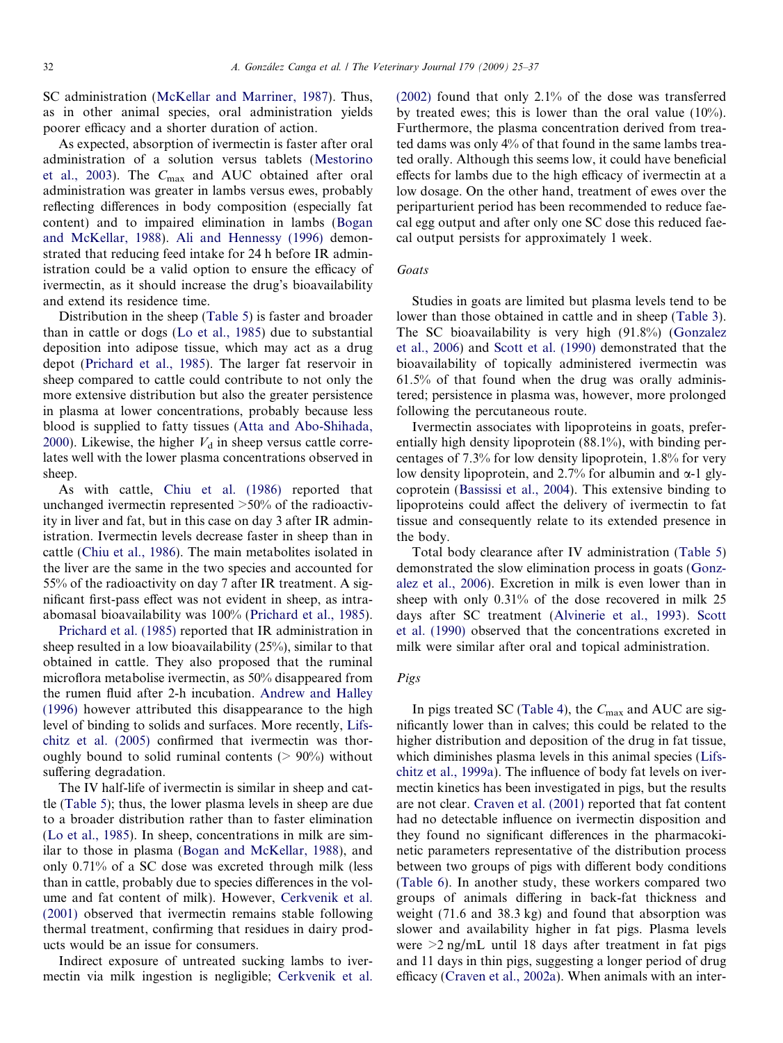SC administration [\(McKellar and Marriner, 1987\)](#page-11-0). Thus, as in other animal species, oral administration yields poorer efficacy and a shorter duration of action.

As expected, absorption of ivermectin is faster after oral administration of a solution versus tablets [\(Mestorino](#page-11-0) [et al., 2003](#page-11-0)). The Cmax and AUC obtained after oral administration was greater in lambs versus ewes, probably reflecting differences in body composition (especially fat content) and to impaired elimination in lambs [\(Bogan](#page-10-0) [and McKellar, 1988\)](#page-10-0). [Ali and Hennessy \(1996\)](#page-10-0) demonstrated that reducing feed intake for 24 h before IR administration could be a valid option to ensure the efficacy of ivermectin, as it should increase the drug's bioavailability and extend its residence time.

Distribution in the sheep [\(Table 5](#page-9-0)) is faster and broader than in cattle or dogs ([Lo et al., 1985\)](#page-11-0) due to substantial deposition into adipose tissue, which may act as a drug depot ([Prichard et al., 1985](#page-11-0)). The larger fat reservoir in sheep compared to cattle could contribute to not only the more extensive distribution but also the greater persistence in plasma at lower concentrations, probably because less blood is supplied to fatty tissues ([Atta and Abo-Shihada,](#page-10-0) [2000\)](#page-10-0). Likewise, the higher  $V_d$  in sheep versus cattle correlates well with the lower plasma concentrations observed in sheep.

As with cattle, [Chiu et al. \(1986\)](#page-11-0) reported that unchanged ivermectin represented >50% of the radioactivity in liver and fat, but in this case on day 3 after IR administration. Ivermectin levels decrease faster in sheep than in cattle [\(Chiu et al., 1986\)](#page-11-0). The main metabolites isolated in the liver are the same in the two species and accounted for 55% of the radioactivity on day 7 after IR treatment. A significant first-pass effect was not evident in sheep, as intraabomasal bioavailability was 100% [\(Prichard et al., 1985\)](#page-11-0).

[Prichard et al. \(1985\)](#page-11-0) reported that IR administration in sheep resulted in a low bioavailability (25%), similar to that obtained in cattle. They also proposed that the ruminal microflora metabolise ivermectin, as 50% disappeared from the rumen fluid after 2-h incubation. [Andrew and Halley](#page-10-0) [\(1996\)](#page-10-0) however attributed this disappearance to the high level of binding to solids and surfaces. More recently, [Lifs](#page-11-0)[chitz et al. \(2005\)](#page-11-0) confirmed that ivermectin was thoroughly bound to solid ruminal contents ( $> 90\%$ ) without suffering degradation.

The IV half-life of ivermectin is similar in sheep and cattle [\(Table 5](#page-9-0)); thus, the lower plasma levels in sheep are due to a broader distribution rather than to faster elimination [\(Lo et al., 1985](#page-11-0)). In sheep, concentrations in milk are similar to those in plasma [\(Bogan and McKellar, 1988\)](#page-10-0), and only 0.71% of a SC dose was excreted through milk (less than in cattle, probably due to species differences in the volume and fat content of milk). However, [Cerkvenik et al.](#page-10-0) [\(2001\)](#page-10-0) observed that ivermectin remains stable following thermal treatment, confirming that residues in dairy products would be an issue for consumers.

Indirect exposure of untreated sucking lambs to ivermectin via milk ingestion is negligible; [Cerkvenik et al.](#page-10-0) [\(2002\)](#page-10-0) found that only 2.1% of the dose was transferred by treated ewes; this is lower than the oral value (10%). Furthermore, the plasma concentration derived from treated dams was only 4% of that found in the same lambs treated orally. Although this seems low, it could have beneficial effects for lambs due to the high efficacy of ivermectin at a low dosage. On the other hand, treatment of ewes over the periparturient period has been recommended to reduce faecal egg output and after only one SC dose this reduced faecal output persists for approximately 1 week.

## Goats

Studies in goats are limited but plasma levels tend to be lower than those obtained in cattle and in sheep [\(Table 3\)](#page-5-0). The SC bioavailability is very high (91.8%) ([Gonzalez](#page-11-0) [et al., 2006\)](#page-11-0) and [Scott et al. \(1990\)](#page-12-0) demonstrated that the bioavailability of topically administered ivermectin was 61.5% of that found when the drug was orally administered; persistence in plasma was, however, more prolonged following the percutaneous route.

Ivermectin associates with lipoproteins in goats, preferentially high density lipoprotein (88.1%), with binding percentages of 7.3% for low density lipoprotein, 1.8% for very low density lipoprotein, and 2.7% for albumin and  $\alpha$ -1 glycoprotein [\(Bassissi et al., 2004\)](#page-10-0). This extensive binding to lipoproteins could affect the delivery of ivermectin to fat tissue and consequently relate to its extended presence in the body.

Total body clearance after IV administration ([Table 5](#page-9-0)) demonstrated the slow elimination process in goats ([Gonz](#page-11-0)[alez et al., 2006](#page-11-0)). Excretion in milk is even lower than in sheep with only 0.31% of the dose recovered in milk 25 days after SC treatment ([Alvinerie et al., 1993\)](#page-10-0). [Scott](#page-12-0) [et al. \(1990\)](#page-12-0) observed that the concentrations excreted in milk were similar after oral and topical administration.

# Pigs

In pigs treated SC ([Table 4\)](#page-8-0), the  $C_{\text{max}}$  and AUC are significantly lower than in calves; this could be related to the higher distribution and deposition of the drug in fat tissue, which diminishes plasma levels in this animal species ([Lifs](#page-11-0)[chitz et al., 1999a\)](#page-11-0). The influence of body fat levels on ivermectin kinetics has been investigated in pigs, but the results are not clear. [Craven et al. \(2001\)](#page-11-0) reported that fat content had no detectable influence on ivermectin disposition and they found no significant differences in the pharmacokinetic parameters representative of the distribution process between two groups of pigs with different body conditions [\(Table 6](#page-10-0)). In another study, these workers compared two groups of animals differing in back-fat thickness and weight (71.6 and 38.3 kg) and found that absorption was slower and availability higher in fat pigs. Plasma levels were  $\geq$ 2 ng/mL until 18 days after treatment in fat pigs and 11 days in thin pigs, suggesting a longer period of drug efficacy ([Craven et al., 2002a](#page-11-0)). When animals with an inter-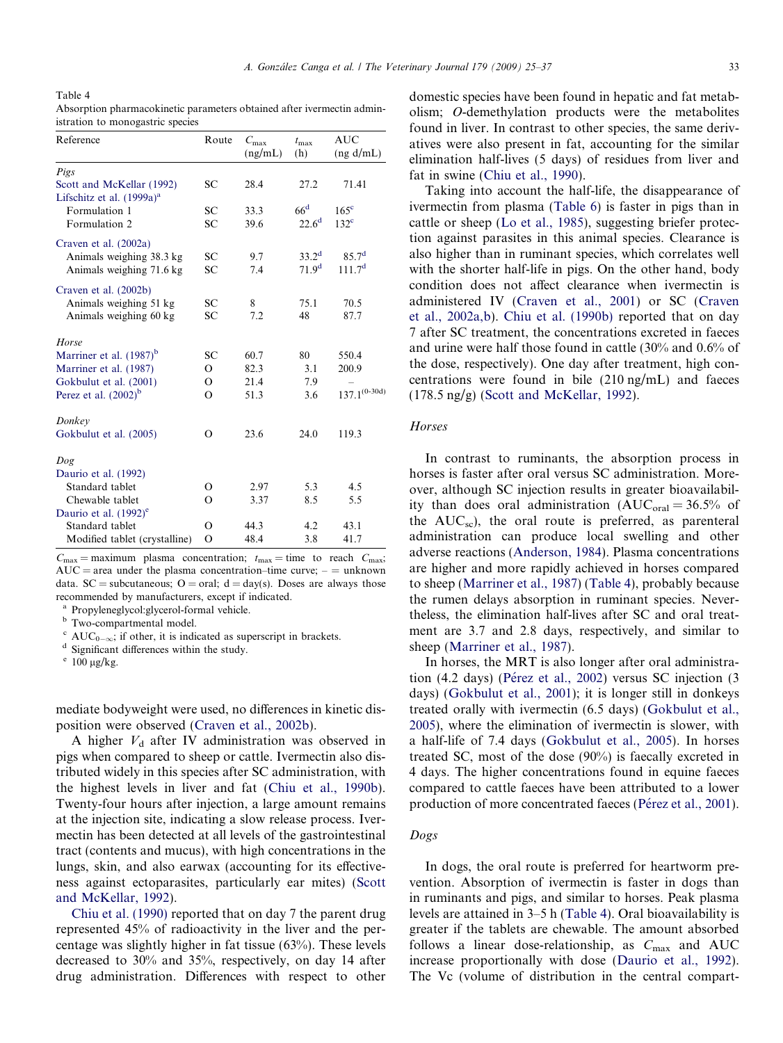<span id="page-8-0"></span>Table 4 Absorption pharmacokinetic parameters obtained after ivermectin administration to monogastric species

| Reference                             | Route    | $C_{\rm max}$<br>(ng/mL) | $t_{\rm max}$<br>(h) | AUC<br>(ng d/mL)   |
|---------------------------------------|----------|--------------------------|----------------------|--------------------|
| Pigs                                  |          |                          |                      |                    |
| Scott and McKellar (1992)             | SС       | 28.4                     | 27.2                 | 71.41              |
| Lifschitz et al. (1999a) <sup>a</sup> |          |                          |                      |                    |
| Formulation 1                         | SC       | 33.3                     | 66 <sup>d</sup>      | 165 <sup>c</sup>   |
| Formulation 2                         | SC       | 39.6                     | $22.6^{\rm d}$       | 132 <sup>c</sup>   |
| Craven et al. (2002a)                 |          |                          |                      |                    |
| Animals weighing 38.3 kg              | SС       | 9.7                      | $33.2^d$             | $85.7^d$           |
| Animals weighing 71.6 kg              | SC       | 7.4                      | 71.9 <sup>d</sup>    | 111.7 <sup>d</sup> |
| Craven et al. (2002b)                 |          |                          |                      |                    |
| Animals weighing 51 kg                | SC       | 8                        | 75.1                 | 70.5               |
| Animals weighing 60 kg                | SC       | 7.2                      | 48                   | 87.7               |
| Horse                                 |          |                          |                      |                    |
| Marriner et al. $(1987)^{b}$          | SC       | 60.7                     | 80                   | 550.4              |
| Marriner et al. (1987)                | Ω        | 82.3                     | 3.1                  | 200.9              |
| Gokbulut et al. (2001)                | O        | 21.4                     | 7.9                  |                    |
| Perez et al. $(2002)^{b}$             | $\Omega$ | 51.3                     | 3.6                  | $137.1^{(0-30d)}$  |
| Donkey                                |          |                          |                      |                    |
| Gokbulut et al. (2005)                | O        | 23.6                     | 24.0                 | 119.3              |
| Dog                                   |          |                          |                      |                    |
| Daurio et al. (1992)                  |          |                          |                      |                    |
| Standard tablet                       | Ω        | 2.97                     | 5.3                  | 4.5                |
| Chewable tablet                       | O        | 3.37                     | 8.5                  | 5.5                |
| Daurio et al. $(1992)^e$              |          |                          |                      |                    |
| Standard tablet                       | О        | 44.3                     | 4.2                  | 43.1               |
| Modified tablet (crystalline)         | $\Omega$ | 48.4                     | 3.8                  | 41.7               |

 $C_{\text{max}} = \text{maximum}$  plasma concentration;  $t_{\text{max}} = \text{time}$  to reach  $C_{\text{max}}$ ;  $AUC = area$  under the plasma concentration–time curve;  $-$  = unknown data. SC = subcutaneous; O = oral;  $d = day(s)$ . Doses are always those recommended by manufacturers, except if indicated.

<sup>a</sup> Propyleneglycol:glycerol-formal vehicle.

**b** Two-compartmental model.

 $^{\rm d}$  Significant differences within the study.  $^{\rm e}$  100 µg/kg.

mediate bodyweight were used, no differences in kinetic disposition were observed [\(Craven et al., 2002b](#page-11-0)).

A higher  $V_d$  after IV administration was observed in pigs when compared to sheep or cattle. Ivermectin also distributed widely in this species after SC administration, with the highest levels in liver and fat [\(Chiu et al., 1990b\)](#page-11-0). Twenty-four hours after injection, a large amount remains at the injection site, indicating a slow release process. Ivermectin has been detected at all levels of the gastrointestinal tract (contents and mucus), with high concentrations in the lungs, skin, and also earwax (accounting for its effectiveness against ectoparasites, particularly ear mites) ([Scott](#page-12-0) [and McKellar, 1992\)](#page-12-0).

[Chiu et al. \(1990\)](#page-11-0) reported that on day 7 the parent drug represented 45% of radioactivity in the liver and the percentage was slightly higher in fat tissue (63%). These levels decreased to 30% and 35%, respectively, on day 14 after drug administration. Differences with respect to other domestic species have been found in hepatic and fat metabolism; O-demethylation products were the metabolites found in liver. In contrast to other species, the same derivatives were also present in fat, accounting for the similar elimination half-lives (5 days) of residues from liver and fat in swine [\(Chiu et al., 1990\)](#page-11-0).

Taking into account the half-life, the disappearance of ivermectin from plasma [\(Table 6](#page-10-0)) is faster in pigs than in cattle or sheep [\(Lo et al., 1985](#page-11-0)), suggesting briefer protection against parasites in this animal species. Clearance is also higher than in ruminant species, which correlates well with the shorter half-life in pigs. On the other hand, body condition does not affect clearance when ivermectin is administered IV [\(Craven et al., 2001](#page-11-0)) or SC ([Craven](#page-11-0) [et al., 2002a,b](#page-11-0)). [Chiu et al. \(1990b\)](#page-11-0) reported that on day 7 after SC treatment, the concentrations excreted in faeces and urine were half those found in cattle (30% and 0.6% of the dose, respectively). One day after treatment, high concentrations were found in bile (210 ng/mL) and faeces (178.5 ng/g) [\(Scott and McKellar, 1992\)](#page-12-0).

## **Horses**

In contrast to ruminants, the absorption process in horses is faster after oral versus SC administration. Moreover, although SC injection results in greater bioavailability than does oral administration  $(AUC<sub>oral</sub> = 36.5\%$  of the  $AUC_{sc}$ ), the oral route is preferred, as parenteral administration can produce local swelling and other adverse reactions ([Anderson, 1984\)](#page-10-0). Plasma concentrations are higher and more rapidly achieved in horses compared to sheep [\(Marriner et al., 1987](#page-11-0)) (Table 4), probably because the rumen delays absorption in ruminant species. Nevertheless, the elimination half-lives after SC and oral treatment are 3.7 and 2.8 days, respectively, and similar to sheep ([Marriner et al., 1987](#page-11-0)).

In horses, the MRT is also longer after oral administration (4.2 days) (Pérez et al., 2002) versus SC injection (3 days) [\(Gokbulut et al., 2001](#page-11-0)); it is longer still in donkeys treated orally with ivermectin (6.5 days) ([Gokbulut et al.,](#page-11-0) [2005](#page-11-0)), where the elimination of ivermectin is slower, with a half-life of 7.4 days ([Gokbulut et al., 2005](#page-11-0)). In horses treated SC, most of the dose (90%) is faecally excreted in 4 days. The higher concentrations found in equine faeces compared to cattle faeces have been attributed to a lower production of more concentrated faeces (Pérez et al., 2001).

#### Dogs

In dogs, the oral route is preferred for heartworm prevention. Absorption of ivermectin is faster in dogs than in ruminants and pigs, and similar to horses. Peak plasma levels are attained in 3–5 h (Table 4). Oral bioavailability is greater if the tablets are chewable. The amount absorbed follows a linear dose-relationship, as  $C_{\text{max}}$  and AUC increase proportionally with dose ([Daurio et al., 1992\)](#page-11-0). The Vc (volume of distribution in the central compart-

<sup>&</sup>lt;sup>c</sup> AUC<sub>0- $\infty$ </sub>; if other, it is indicated as superscript in brackets.<br><sup>d</sup> Significant differences within the study.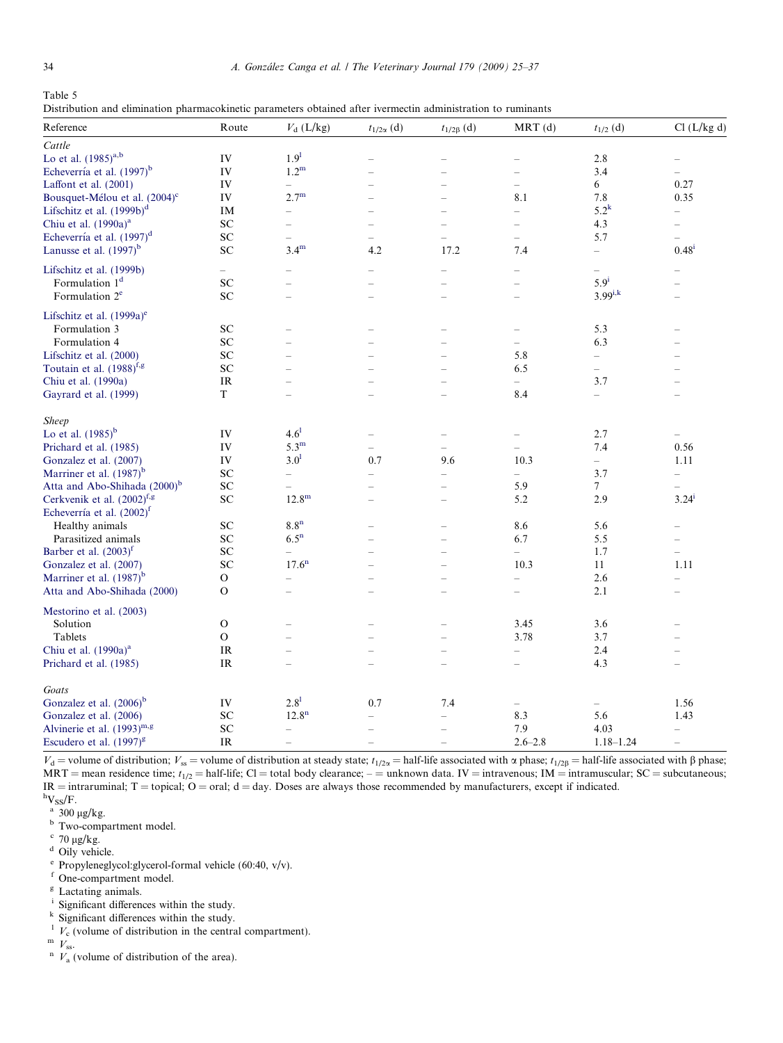<span id="page-9-0"></span>Table 5 Distribution and elimination pharmacokinetic parameters obtained after ivermectin administration to ruminants

| Reference                                 | Route                             | $V_{d}$ (L/kg)           | $t_{1/2\alpha}$ (d)      | $t_{1/2\beta}$ (d)       | $MRT$ (d)                | $t_{1/2}\ (\mathrm{d})$  | Cl (L/kg d)              |
|-------------------------------------------|-----------------------------------|--------------------------|--------------------------|--------------------------|--------------------------|--------------------------|--------------------------|
| Cattle                                    |                                   |                          |                          |                          |                          |                          |                          |
| Lo et al. $(1985)^{a,b}$                  | IV                                | 1.9 <sup>1</sup>         |                          |                          |                          | 2.8                      |                          |
| Echeverría et al. (1997) <sup>b</sup>     | IV                                | 1.2 <sup>m</sup>         |                          |                          | $\overline{\phantom{0}}$ | 3.4                      | $\overline{\phantom{0}}$ |
| Laffont et al. (2001)                     | IV                                | $\overline{\phantom{0}}$ |                          |                          | $\overline{\phantom{0}}$ | 6                        | 0.27                     |
| Bousquet-Mélou et al. (2004) <sup>c</sup> | IV                                | $2.7^{\rm m}$            |                          | $\overline{\phantom{a}}$ | 8.1                      | 7.8                      | 0.35                     |
| Lifschitz et al. (1999b) <sup>d</sup>     | IM                                | $\overline{\phantom{0}}$ |                          |                          | $\overline{\phantom{0}}$ | $5.2^k$                  | $\overline{\phantom{0}}$ |
| Chiu et al. (1990a) <sup>a</sup>          | SC                                | $\overline{\phantom{0}}$ |                          |                          | $\overline{a}$           | 4.3                      |                          |
| Echeverría et al. (1997) <sup>d</sup>     | ${\rm SC}$                        |                          | $\overline{\phantom{0}}$ |                          | $\overline{a}$           | 5.7                      |                          |
| Lanusse et al. $(1997)^{b}$               | ${\rm SC}$                        | $3.4^{\rm m}$            | 4.2                      | 17.2                     | 7.4                      | $\overline{\phantom{0}}$ | $0.48^{i}$               |
| Lifschitz et al. (1999b)                  | $\overline{\phantom{0}}$          |                          |                          |                          | $\overline{\phantom{0}}$ | $\overline{\phantom{0}}$ |                          |
| Formulation 1 <sup>d</sup>                | SC                                |                          |                          |                          | $\overline{\phantom{0}}$ | 5.9 <sup>i</sup>         |                          |
| Formulation 2 <sup>e</sup>                | SC                                |                          |                          |                          |                          | $3.99^{i,k}$             |                          |
| Lifschitz et al. (1999a) <sup>e</sup>     |                                   |                          |                          |                          |                          |                          |                          |
| Formulation 3                             | SC                                |                          |                          |                          |                          | 5.3                      |                          |
| Formulation 4                             | ${\rm SC}$                        |                          |                          |                          | $\overline{\phantom{0}}$ | 6.3                      |                          |
| Lifschitz et al. (2000)                   | ${\bf SC}$                        | L.                       |                          |                          | 5.8                      | $\overline{\phantom{0}}$ | ÷                        |
| Toutain et al. (1988) <sup>f,g</sup>      | SC                                |                          |                          |                          | 6.5                      | $\equiv$                 |                          |
| Chiu et al. (1990a)                       | IR                                |                          |                          |                          |                          | 3.7                      | $\overline{\phantom{0}}$ |
| Gayrard et al. (1999)                     | T                                 |                          |                          |                          | 8.4                      | $\qquad \qquad -$        |                          |
|                                           |                                   |                          |                          |                          |                          |                          |                          |
| <b>Sheep</b>                              |                                   |                          |                          |                          |                          |                          |                          |
| Lo et al. $(1985)^{b}$                    | IV                                | $4.6^{1}$                |                          |                          |                          | 2.7                      | $\overline{\phantom{0}}$ |
| Prichard et al. (1985)                    | IV                                | $5.3^{\rm m}$            | $\overline{\phantom{0}}$ |                          |                          | 7.4                      | 0.56                     |
| Gonzalez et al. (2007)                    | IV                                | 3.0 <sup>1</sup>         | 0.7                      | 9.6                      | 10.3                     | $\overline{\phantom{0}}$ | 1.11                     |
| Marriner et al. (1987) <sup>b</sup>       | ${\rm SC}$                        | $\overline{\phantom{0}}$ | $\overline{\phantom{0}}$ | $\overline{\phantom{0}}$ | $\equiv$                 | 3.7                      | $\overline{\phantom{0}}$ |
| Atta and Abo-Shihada (2000) <sup>b</sup>  | SC                                | $\overline{\phantom{0}}$ |                          | $\overline{\phantom{0}}$ | 5.9                      | $7\phantom{.0}$          |                          |
| Cerkvenik et al. $(2002)^{f,g}$           | ${\rm SC}$                        | $12.8^{\rm m}$           | L.                       | L.                       | 5.2                      | 2.9                      | $3.24^{i}$               |
| Echeverría et al. (2002) <sup>f</sup>     |                                   |                          |                          |                          |                          |                          |                          |
| Healthy animals                           | SC                                | 8.8 <sup>n</sup>         |                          | $\overline{\phantom{0}}$ | 8.6                      | 5.6                      | $\overline{\phantom{0}}$ |
| Parasitized animals                       | SC                                | 6.5 <sup>n</sup>         |                          |                          | 6.7                      | 5.5                      |                          |
| Barber et al. $(2003)^f$                  | ${\rm SC}$                        | $\qquad \qquad -$        |                          | L.                       | $\overline{\phantom{0}}$ | 1.7                      | $\overline{\phantom{0}}$ |
| Gonzalez et al. (2007)                    | SC                                | 17.6 <sup>n</sup>        |                          |                          | 10.3                     | 11                       | 1.11                     |
| Marriner et al. (1987) <sup>b</sup>       | O                                 |                          |                          |                          | $\overline{\phantom{0}}$ | 2.6                      | $\overline{\phantom{0}}$ |
| Atta and Abo-Shihada (2000)               | $\mathbf{O}$                      |                          |                          |                          |                          | 2.1                      | $\overline{\phantom{0}}$ |
| Mestorino et al. (2003)                   |                                   |                          |                          |                          |                          |                          |                          |
| Solution                                  | $\mathbf{O}$                      |                          |                          |                          | 3.45                     | 3.6                      |                          |
| Tablets                                   | $\mathbf{O}$                      |                          |                          |                          | 3.78                     | 3.7                      |                          |
| Chiu et al. (1990a) <sup>a</sup>          | IR                                |                          |                          |                          | $\overline{\phantom{0}}$ | 2.4                      | $\overline{\phantom{0}}$ |
| Prichard et al. (1985)                    | $\ensuremath{\mathsf{IR}}\xspace$ |                          |                          | L.                       |                          | 4.3                      | $\overline{\phantom{0}}$ |
| Goats                                     |                                   |                          |                          |                          |                          |                          |                          |
| Gonzalez et al. (2006) <sup>b</sup>       | IV                                | $2.8^{1}$                | 0.7                      | 7.4                      |                          |                          | 1.56                     |
| Gonzalez et al. (2006)                    | ${\rm SC}$                        | 12.8 <sup>n</sup>        | $\overline{\phantom{a}}$ | $\overline{\phantom{0}}$ | 8.3                      | 5.6                      | 1.43                     |
| Alvinerie et al. $(1993)^{m,g}$           | ${\rm SC}$                        | $\overline{\phantom{0}}$ |                          | $\overline{\phantom{0}}$ | 7.9                      | 4.03                     | $\overline{\phantom{0}}$ |
| Escudero et al. (1997) <sup>g</sup>       | <b>IR</b>                         | $\qquad \qquad -$        | $\overline{\phantom{a}}$ | L.                       | $2.6 - 2.8$              | $1.18 - 1.24$            | $\overline{\phantom{0}}$ |
|                                           |                                   |                          |                          |                          |                          |                          |                          |

 $V_d$  = volume of distribution;  $V_{ss}$  = volume of distribution at steady state;  $t_{1/2\alpha}$  = half-life associated with  $\alpha$  phase;  $t_{1/2\beta}$  = half-life associated with  $\beta$  phase;  $MRT$  = mean residence time;  $t_{1/2}$  = half-life; Cl = total body clearance; – = unknown data. IV = intravenous; IM = intramuscular; SC = subcutaneous;  $IR =$  intraruminal;  $T =$  topical;  $O =$  oral;  $d =$  day. Doses are always those recommended by manufacturers, except if indicated.  $hV_{SS}/F$ .

 $a$  300  $\mu$ g/kg.

**b** Two-compartment model.

- $\degree$  70 µg/kg.
- <sup>d</sup> Oily vehicle.
- $e$  Propyleneglycol:glycerol-formal vehicle (60:40, v/v).
- f One-compartment model.<br><sup>g</sup> Lactating animals.<br><sup>i</sup> Significant differences with
- 
- Significant differences within the study.
- <sup>k</sup> Significant differences within the study.
- <sup>1</sup>  $V_c$  (volume of distribution in the central compartment).<br><sup>m</sup>  $V_{\text{ss}}$ .<br><sup>n</sup>  $V_a$  (volume of distribution of the area).
- 
-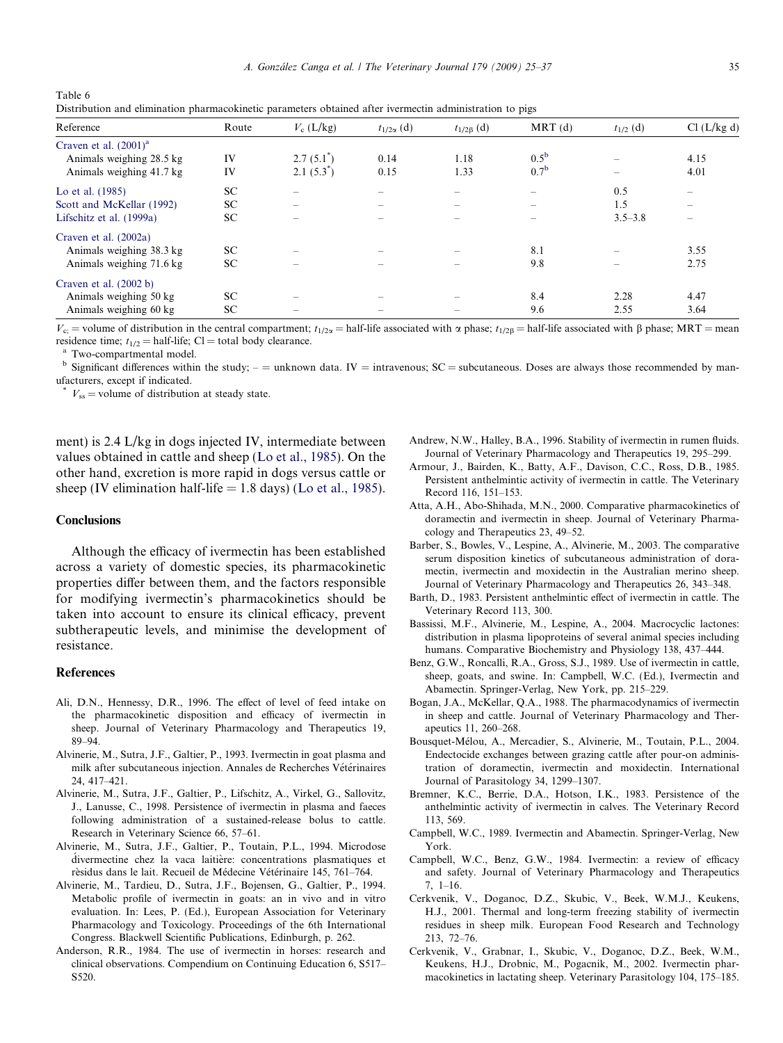<span id="page-10-0"></span>Table 6 Distribution and elimination pharmacokinetic parameters obtained after ivermectin administration to pigs

| Reference                  | Route     | $V_c$ (L/kg)                          | $t_{1/2\alpha}$ (d)      | $t_{1/2\beta}$ (d)       | $MRT$ (d)                | $t_{1/2}$ (d)                         | Cl (L/kg d) |
|----------------------------|-----------|---------------------------------------|--------------------------|--------------------------|--------------------------|---------------------------------------|-------------|
| Craven et al. $(2001)^{a}$ |           |                                       |                          |                          |                          |                                       |             |
| Animals weighing 28.5 kg   | IV        | $2.7(5.1^{*})$                        | 0.14                     | 1.18                     | $0.5^{\rm b}$            | $\overline{\phantom{a}}$              | 4.15        |
| Animals weighing 41.7 kg   | IV        | $2.1(5.3^{\degree})$                  | 0.15                     | 1.33                     | 0.7 <sup>b</sup>         | $\hspace{1.0cm} \rule{1.5cm}{0.15cm}$ | 4.01        |
| Lo et al. (1985)           | SC.       | $\overline{\phantom{0}}$              |                          |                          |                          | 0.5                                   | -           |
| Scott and McKellar (1992)  | SC.       |                                       | $\overline{\phantom{a}}$ | $\overline{\phantom{a}}$ | $\overline{\phantom{a}}$ | 1.5                                   | -           |
| Lifschitz et al. (1999a)   | SC.       |                                       |                          |                          |                          | $3.5 - 3.8$                           |             |
| Craven et al. (2002a)      |           |                                       |                          |                          |                          |                                       |             |
| Animals weighing 38.3 kg   | <b>SC</b> | $\overline{\phantom{a}}$              |                          |                          | 8.1                      | $\overline{\phantom{a}}$              | 3.55        |
| Animals weighing 71.6 kg   | SC.       |                                       |                          |                          | 9.8                      |                                       | 2.75        |
| Craven et al. $(2002 b)$   |           |                                       |                          |                          |                          |                                       |             |
| Animals weighing 50 kg     | <b>SC</b> | $\hspace{1.0cm} \rule{1.5cm}{0.15cm}$ |                          |                          | 8.4                      | 2.28                                  | 4.47        |
| Animals weighing 60 kg     | SC.       |                                       |                          |                          | 9.6                      | 2.55                                  | 3.64        |

 $V_{\rm c}$  = volume of distribution in the central compartment;  $t_{1/2\alpha}$  = half-life associated with  $\alpha$  phase;  $t_{1/2\beta}$  = half-life associated with  $\beta$  phase; MRT = mean residence time;  $t_{1/2}$  = half-life; Cl = total body clearance. <br><sup>a</sup> Two-compartmental model.

 $<sup>b</sup>$  Significant differences within the study;  $-$  = unknown data. IV = intravenous; SC = subcutaneous. Doses are always those recommended by man-</sup> ufacturers, except if indicated.

 $V_{ss}$  = volume of distribution at steady state.

ment) is 2.4 L/kg in dogs injected IV, intermediate between values obtained in cattle and sheep ([Lo et al., 1985](#page-11-0)). On the other hand, excretion is more rapid in dogs versus cattle or sheep (IV elimination half-life  $= 1.8$  days) ([Lo et al., 1985\)](#page-11-0).

#### **Conclusions**

Although the efficacy of ivermectin has been established across a variety of domestic species, its pharmacokinetic properties differ between them, and the factors responsible for modifying ivermectin's pharmacokinetics should be taken into account to ensure its clinical efficacy, prevent subtherapeutic levels, and minimise the development of resistance.

#### References

- Ali, D.N., Hennessy, D.R., 1996. The effect of level of feed intake on the pharmacokinetic disposition and efficacy of ivermectin in sheep. Journal of Veterinary Pharmacology and Therapeutics 19, 89–94.
- Alvinerie, M., Sutra, J.F., Galtier, P., 1993. Ivermectin in goat plasma and milk after subcutaneous injection. Annales de Recherches Vétérinaires 24, 417–421.
- Alvinerie, M., Sutra, J.F., Galtier, P., Lifschitz, A., Virkel, G., Sallovitz, J., Lanusse, C., 1998. Persistence of ivermectin in plasma and faeces following administration of a sustained-release bolus to cattle. Research in Veterinary Science 66, 57–61.
- Alvinerie, M., Sutra, J.F., Galtier, P., Toutain, P.L., 1994. Microdose divermectine chez la vaca laitière: concentrations plasmatiques et rèsidus dans le lait. Recueil de Médecine Vétérinaire 145, 761-764.
- Alvinerie, M., Tardieu, D., Sutra, J.F., Bojensen, G., Galtier, P., 1994. Metabolic profile of ivermectin in goats: an in vivo and in vitro evaluation. In: Lees, P. (Ed.), European Association for Veterinary Pharmacology and Toxicology. Proceedings of the 6th International Congress. Blackwell Scientific Publications, Edinburgh, p. 262.
- Anderson, R.R., 1984. The use of ivermectin in horses: research and clinical observations. Compendium on Continuing Education 6, S517– S520.
- Andrew, N.W., Halley, B.A., 1996. Stability of ivermectin in rumen fluids. Journal of Veterinary Pharmacology and Therapeutics 19, 295–299.
- Armour, J., Bairden, K., Batty, A.F., Davison, C.C., Ross, D.B., 1985. Persistent anthelmintic activity of ivermectin in cattle. The Veterinary Record 116, 151–153.
- Atta, A.H., Abo-Shihada, M.N., 2000. Comparative pharmacokinetics of doramectin and ivermectin in sheep. Journal of Veterinary Pharmacology and Therapeutics 23, 49–52.
- Barber, S., Bowles, V., Lespine, A., Alvinerie, M., 2003. The comparative serum disposition kinetics of subcutaneous administration of doramectin, ivermectin and moxidectin in the Australian merino sheep. Journal of Veterinary Pharmacology and Therapeutics 26, 343–348.
- Barth, D., 1983. Persistent anthelmintic effect of ivermectin in cattle. The Veterinary Record 113, 300.
- Bassissi, M.F., Alvinerie, M., Lespine, A., 2004. Macrocyclic lactones: distribution in plasma lipoproteins of several animal species including humans. Comparative Biochemistry and Physiology 138, 437–444.
- Benz, G.W., Roncalli, R.A., Gross, S.J., 1989. Use of ivermectin in cattle, sheep, goats, and swine. In: Campbell, W.C. (Ed.), Ivermectin and Abamectin. Springer-Verlag, New York, pp. 215–229.
- Bogan, J.A., McKellar, Q.A., 1988. The pharmacodynamics of ivermectin in sheep and cattle. Journal of Veterinary Pharmacology and Therapeutics 11, 260–268.
- Bousquet-Mélou, A., Mercadier, S., Alvinerie, M., Toutain, P.L., 2004. Endectocide exchanges between grazing cattle after pour-on administration of doramectin, ivermectin and moxidectin. International Journal of Parasitology 34, 1299–1307.
- Bremner, K.C., Berrie, D.A., Hotson, I.K., 1983. Persistence of the anthelmintic activity of ivermectin in calves. The Veterinary Record 113, 569.
- Campbell, W.C., 1989. Ivermectin and Abamectin. Springer-Verlag, New York.
- Campbell, W.C., Benz, G.W., 1984. Ivermectin: a review of efficacy and safety. Journal of Veterinary Pharmacology and Therapeutics 7, 1–16.
- Cerkvenik, V., Doganoc, D.Z., Skubic, V., Beek, W.M.J., Keukens, H.J., 2001. Thermal and long-term freezing stability of ivermectin residues in sheep milk. European Food Research and Technology 213, 72–76.
- Cerkvenik, V., Grabnar, I., Skubic, V., Doganoc, D.Z., Beek, W.M., Keukens, H.J., Drobnic, M., Pogacnik, M., 2002. Ivermectin pharmacokinetics in lactating sheep. Veterinary Parasitology 104, 175–185.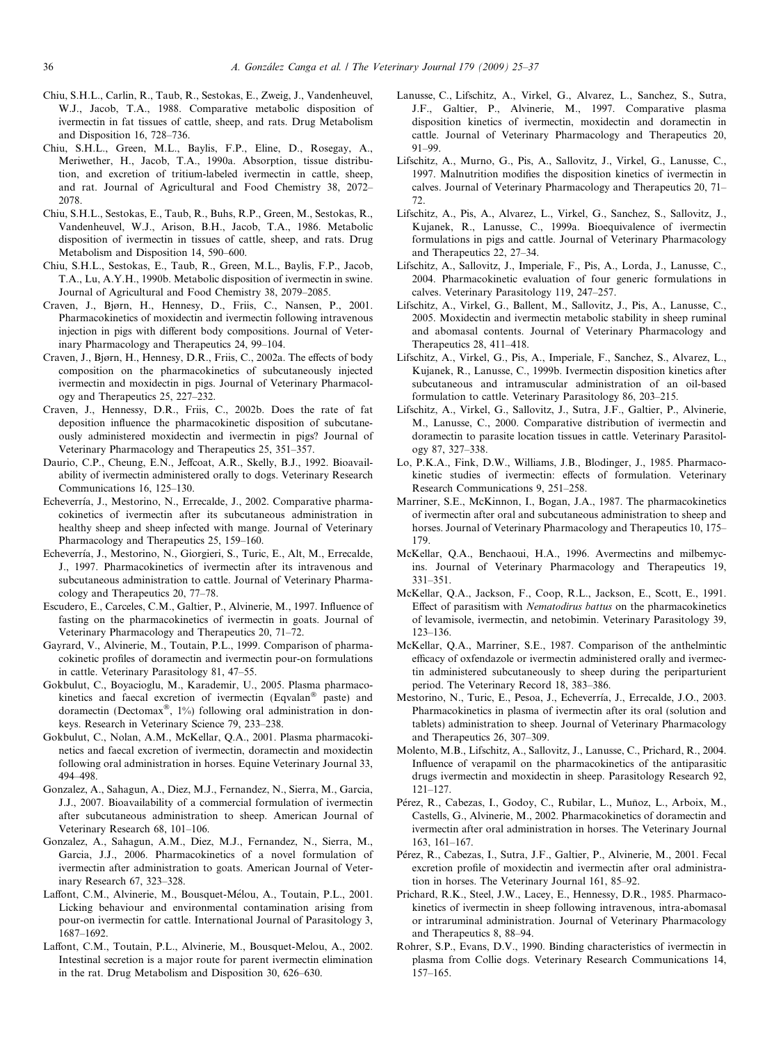- <span id="page-11-0"></span>Chiu, S.H.L., Carlin, R., Taub, R., Sestokas, E., Zweig, J., Vandenheuvel, W.J., Jacob, T.A., 1988. Comparative metabolic disposition of ivermectin in fat tissues of cattle, sheep, and rats. Drug Metabolism and Disposition 16, 728–736.
- Chiu, S.H.L., Green, M.L., Baylis, F.P., Eline, D., Rosegay, A., Meriwether, H., Jacob, T.A., 1990a. Absorption, tissue distribution, and excretion of tritium-labeled ivermectin in cattle, sheep, and rat. Journal of Agricultural and Food Chemistry 38, 2072– 2078.
- Chiu, S.H.L., Sestokas, E., Taub, R., Buhs, R.P., Green, M., Sestokas, R., Vandenheuvel, W.J., Arison, B.H., Jacob, T.A., 1986. Metabolic disposition of ivermectin in tissues of cattle, sheep, and rats. Drug Metabolism and Disposition 14, 590–600.
- Chiu, S.H.L., Sestokas, E., Taub, R., Green, M.L., Baylis, F.P., Jacob, T.A., Lu, A.Y.H., 1990b. Metabolic disposition of ivermectin in swine. Journal of Agricultural and Food Chemistry 38, 2079–2085.
- Craven, J., Bjørn, H., Hennesy, D., Friis, C., Nansen, P., 2001. Pharmacokinetics of moxidectin and ivermectin following intravenous injection in pigs with different body compositions. Journal of Veterinary Pharmacology and Therapeutics 24, 99–104.
- Craven, J., Bjørn, H., Hennesy, D.R., Friis, C., 2002a. The effects of body composition on the pharmacokinetics of subcutaneously injected ivermectin and moxidectin in pigs. Journal of Veterinary Pharmacology and Therapeutics 25, 227–232.
- Craven, J., Hennessy, D.R., Friis, C., 2002b. Does the rate of fat deposition influence the pharmacokinetic disposition of subcutaneously administered moxidectin and ivermectin in pigs? Journal of Veterinary Pharmacology and Therapeutics 25, 351–357.
- Daurio, C.P., Cheung, E.N., Jeffcoat, A.R., Skelly, B.J., 1992. Bioavailability of ivermectin administered orally to dogs. Veterinary Research Communications 16, 125–130.
- Echeverría, J., Mestorino, N., Errecalde, J., 2002. Comparative pharmacokinetics of ivermectin after its subcutaneous administration in healthy sheep and sheep infected with mange. Journal of Veterinary Pharmacology and Therapeutics 25, 159–160.
- Echeverría, J., Mestorino, N., Giorgieri, S., Turic, E., Alt, M., Errecalde, J., 1997. Pharmacokinetics of ivermectin after its intravenous and subcutaneous administration to cattle. Journal of Veterinary Pharmacology and Therapeutics 20, 77–78.
- Escudero, E., Carceles, C.M., Galtier, P., Alvinerie, M., 1997. Influence of fasting on the pharmacokinetics of ivermectin in goats. Journal of Veterinary Pharmacology and Therapeutics 20, 71–72.
- Gayrard, V., Alvinerie, M., Toutain, P.L., 1999. Comparison of pharmacokinetic profiles of doramectin and ivermectin pour-on formulations in cattle. Veterinary Parasitology 81, 47–55.
- Gokbulut, C., Boyacioglu, M., Karademir, U., 2005. Plasma pharmacokinetics and faecal excretion of ivermectin (Eqvalan<sup>®</sup> paste) and doramectin (Dectomax®,  $1\%$ ) following oral administration in donkeys. Research in Veterinary Science 79, 233–238.
- Gokbulut, C., Nolan, A.M., McKellar, Q.A., 2001. Plasma pharmacokinetics and faecal excretion of ivermectin, doramectin and moxidectin following oral administration in horses. Equine Veterinary Journal 33, 494–498.
- Gonzalez, A., Sahagun, A., Diez, M.J., Fernandez, N., Sierra, M., Garcia, J.J., 2007. Bioavailability of a commercial formulation of ivermectin after subcutaneous administration to sheep. American Journal of Veterinary Research 68, 101–106.
- Gonzalez, A., Sahagun, A.M., Diez, M.J., Fernandez, N., Sierra, M., Garcia, J.J., 2006. Pharmacokinetics of a novel formulation of ivermectin after administration to goats. American Journal of Veterinary Research 67, 323–328.
- Laffont, C.M., Alvinerie, M., Bousquet-Mélou, A., Toutain, P.L., 2001. Licking behaviour and environmental contamination arising from pour-on ivermectin for cattle. International Journal of Parasitology 3, 1687–1692.
- Laffont, C.M., Toutain, P.L., Alvinerie, M., Bousquet-Melou, A., 2002. Intestinal secretion is a major route for parent ivermectin elimination in the rat. Drug Metabolism and Disposition 30, 626–630.
- Lanusse, C., Lifschitz, A., Virkel, G., Alvarez, L., Sanchez, S., Sutra, J.F., Galtier, P., Alvinerie, M., 1997. Comparative plasma disposition kinetics of ivermectin, moxidectin and doramectin in cattle. Journal of Veterinary Pharmacology and Therapeutics 20, 91–99.
- Lifschitz, A., Murno, G., Pis, A., Sallovitz, J., Virkel, G., Lanusse, C., 1997. Malnutrition modifies the disposition kinetics of ivermectin in calves. Journal of Veterinary Pharmacology and Therapeutics 20, 71– 72.
- Lifschitz, A., Pis, A., Alvarez, L., Virkel, G., Sanchez, S., Sallovitz, J., Kujanek, R., Lanusse, C., 1999a. Bioequivalence of ivermectin formulations in pigs and cattle. Journal of Veterinary Pharmacology and Therapeutics 22, 27–34.
- Lifschitz, A., Sallovitz, J., Imperiale, F., Pis, A., Lorda, J., Lanusse, C., 2004. Pharmacokinetic evaluation of four generic formulations in calves. Veterinary Parasitology 119, 247–257.
- Lifschitz, A., Virkel, G., Ballent, M., Sallovitz, J., Pis, A., Lanusse, C., 2005. Moxidectin and ivermectin metabolic stability in sheep ruminal and abomasal contents. Journal of Veterinary Pharmacology and Therapeutics 28, 411–418.
- Lifschitz, A., Virkel, G., Pis, A., Imperiale, F., Sanchez, S., Alvarez, L., Kujanek, R., Lanusse, C., 1999b. Ivermectin disposition kinetics after subcutaneous and intramuscular administration of an oil-based formulation to cattle. Veterinary Parasitology 86, 203–215.
- Lifschitz, A., Virkel, G., Sallovitz, J., Sutra, J.F., Galtier, P., Alvinerie, M., Lanusse, C., 2000. Comparative distribution of ivermectin and doramectin to parasite location tissues in cattle. Veterinary Parasitology 87, 327–338.
- Lo, P.K.A., Fink, D.W., Williams, J.B., Blodinger, J., 1985. Pharmacokinetic studies of ivermectin: effects of formulation. Veterinary Research Communications 9, 251–258.
- Marriner, S.E., McKinnon, I., Bogan, J.A., 1987. The pharmacokinetics of ivermectin after oral and subcutaneous administration to sheep and horses. Journal of Veterinary Pharmacology and Therapeutics 10, 175– 179.
- McKellar, Q.A., Benchaoui, H.A., 1996. Avermectins and milbemycins. Journal of Veterinary Pharmacology and Therapeutics 19, 331–351.
- McKellar, Q.A., Jackson, F., Coop, R.L., Jackson, E., Scott, E., 1991. Effect of parasitism with Nematodirus battus on the pharmacokinetics of levamisole, ivermectin, and netobimin. Veterinary Parasitology 39, 123–136.
- McKellar, Q.A., Marriner, S.E., 1987. Comparison of the anthelmintic efficacy of oxfendazole or ivermectin administered orally and ivermectin administered subcutaneously to sheep during the periparturient period. The Veterinary Record 18, 383–386.
- Mestorino, N., Turic, E., Pesoa, J., Echeverría, J., Errecalde, J.O., 2003. Pharmacokinetics in plasma of ivermectin after its oral (solution and tablets) administration to sheep. Journal of Veterinary Pharmacology and Therapeutics 26, 307–309.
- Molento, M.B., Lifschitz, A., Sallovitz, J., Lanusse, C., Prichard, R., 2004. Influence of verapamil on the pharmacokinetics of the antiparasitic drugs ivermectin and moxidectin in sheep. Parasitology Research 92, 121–127.
- Pérez, R., Cabezas, I., Godoy, C., Rubilar, L., Muñoz, L., Arboix, M., Castells, G., Alvinerie, M., 2002. Pharmacokinetics of doramectin and ivermectin after oral administration in horses. The Veterinary Journal 163, 161–167.
- Pérez, R., Cabezas, I., Sutra, J.F., Galtier, P., Alvinerie, M., 2001. Fecal excretion profile of moxidectin and ivermectin after oral administration in horses. The Veterinary Journal 161, 85–92.
- Prichard, R.K., Steel, J.W., Lacey, E., Hennessy, D.R., 1985. Pharmacokinetics of ivermectin in sheep following intravenous, intra-abomasal or intraruminal administration. Journal of Veterinary Pharmacology and Therapeutics 8, 88–94.
- Rohrer, S.P., Evans, D.V., 1990. Binding characteristics of ivermectin in plasma from Collie dogs. Veterinary Research Communications 14, 157–165.